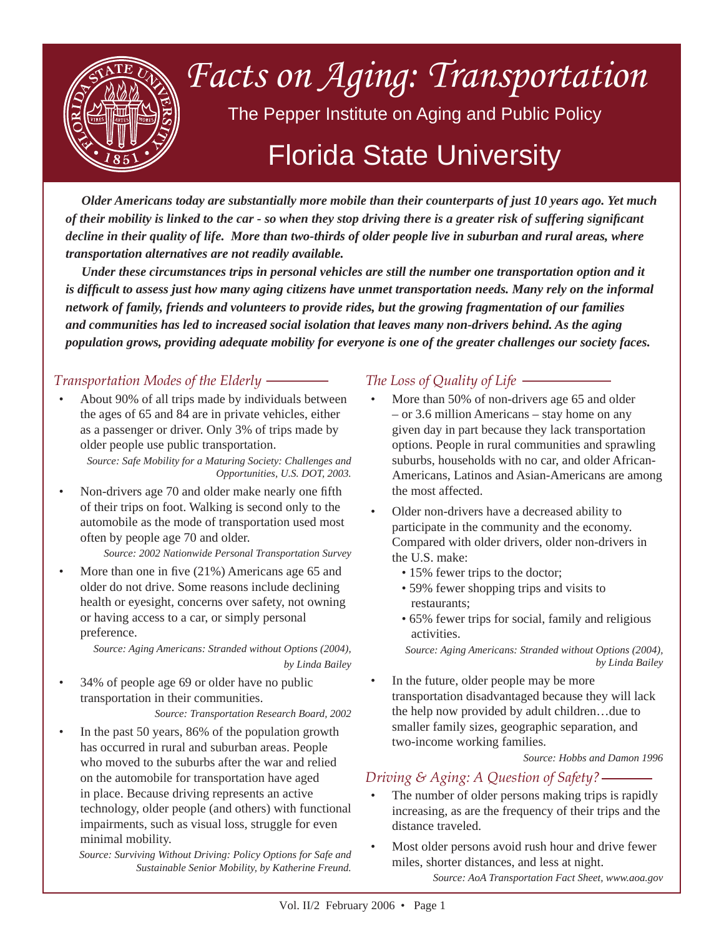

*Older Americans today are substantially more mobile than their counterparts of just 10 years ago. Yet much of their mobility is linked to the car - so when they stop driving there is a greater risk of suffering signifi cant decline in their quality of life. More than two-thirds of older people live in suburban and rural areas, where transportation alternatives are not readily available.*

*Under these circumstances trips in personal vehicles are still the number one transportation option and it is difficult to assess just how many aging citizens have unmet transportation needs. Many rely on the informal network of family, friends and volunteers to provide rides, but the growing fragmentation of our families and communities has led to increased social isolation that leaves many non-drivers behind. As the aging population grows, providing adequate mobility for everyone is one of the greater challenges our society faces.* 

# *Transportation Modes of the Elderly*

About 90% of all trips made by individuals between the ages of 65 and 84 are in private vehicles, either as a passenger or driver. Only 3% of trips made by older people use public transportation. •

*Source: Safe Mobility for a Maturing Society: Challenges and Opportunities, U.S. DOT, 2003.*

Non-drivers age 70 and older make nearly one fifth of their trips on foot. Walking is second only to the automobile as the mode of transportation used most often by people age 70 and older. •

## *Source: 2002 Nationwide Personal Transportation Survey*

More than one in five  $(21%)$  Americans age 65 and older do not drive. Some reasons include declining health or eyesight, concerns over safety, not owning or having access to a car, or simply personal preference. •

> *Source: Aging Americans: Stranded without Options (2004), by Linda Bailey*

34% of people age 69 or older have no public transportation in their communities. •

#### *Source: Transportation Research Board, 2002*

In the past 50 years, 86% of the population growth has occurred in rural and suburban areas. People who moved to the suburbs after the war and relied on the automobile for transportation have aged in place. Because driving represents an active technology, older people (and others) with functional impairments, such as visual loss, struggle for even minimal mobility. •

*Source: Surviving Without Driving: Policy Options for Safe and Sustainable Senior Mobility, by Katherine Freund.*

# *The Loss of Quality of Life*

- More than 50% of non-drivers age 65 and older – or 3.6 million Americans – stay home on any given day in part because they lack transportation options. People in rural communities and sprawling suburbs, households with no car, and older African-Americans, Latinos and Asian-Americans are among the most affected. •
- Older non-drivers have a decreased ability to participate in the community and the economy. Compared with older drivers, older non-drivers in the U.S. make: •
	- 15% fewer trips to the doctor;
	- 59% fewer shopping trips and visits to restaurants;
	- 65% fewer trips for social, family and religious activities.

*Source: Aging Americans: Stranded without Options (2004), by Linda Bailey*

In the future, older people may be more transportation disadvantaged because they will lack the help now provided by adult children…due to smaller family sizes, geographic separation, and two-income working families. •

*Source: Hobbs and Damon 1996*

## *Driving & Aging: A Question of Safety?*

- The number of older persons making trips is rapidly increasing, as are the frequency of their trips and the distance traveled. •
- Most older persons avoid rush hour and drive fewer miles, shorter distances, and less at night. *Source: AoA Transportation Fact Sheet, www.aoa.gov* •